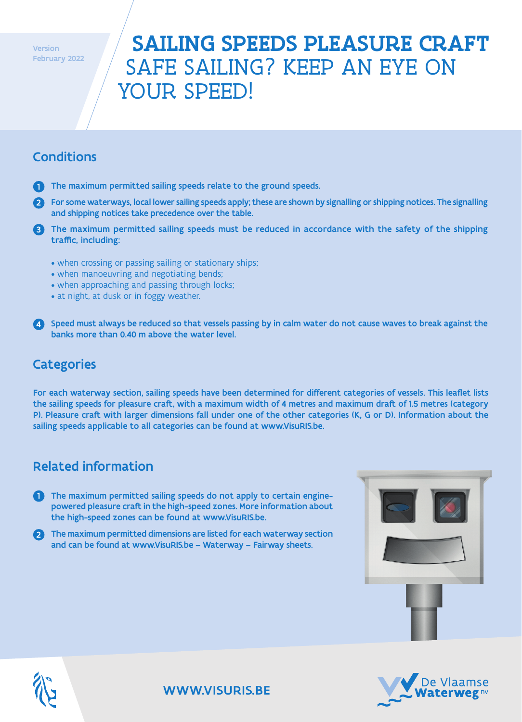**Version** February 2022

# SAILING SPEEDS PLEASURE CRAFT SAFE SAILING? KEEP AN EYE ON YOUR SPEED!

## Conditions

- $\blacksquare$  The maximum permitted sailing speeds relate to the ground speeds.
- 2) For some waterways, local lower sailing speeds apply; these are shown by signalling or shipping notices. The signalling and shipping notices take precedence over the table.
- 3) The maximum permitted sailing speeds must be reduced in accordance with the safety of the shipping traffic, including:
	- when crossing or passing sailing or stationary ships;
	- when manoeuvring and negotiating bends;
	- when approaching and passing through locks;
	- at night, at dusk or in foggy weather.
- 4 Speed must always be reduced so that vessels passing by in calm water do not cause waves to break against the banks more than 0.40 m above the water level.

#### **Categories**

For each waterway section, sailing speeds have been determined for different categories of vessels. This leaflet lists the sailing speeds for pleasure craft, with a maximum width of 4 metres and maximum draft of 1.5 metres (category P). Pleasure craft with larger dimensions fall under one of the other categories (K, G or D). Information about the sailing speeds applicable to all categories can be found at www.VisuRIS.be.

### Related information

- 1 The maximum permitted sailing speeds do not apply to certain enginepowered pleasure craft in the high-speed zones. More information about the high-speed zones can be found at www.VisuRIS.be.
- 2 The maximum permitted dimensions are listed for each waterway section and can be found at www.VisuRIS.be – Waterway – Fairway sheets.







#### WWW.VISURIS.BE